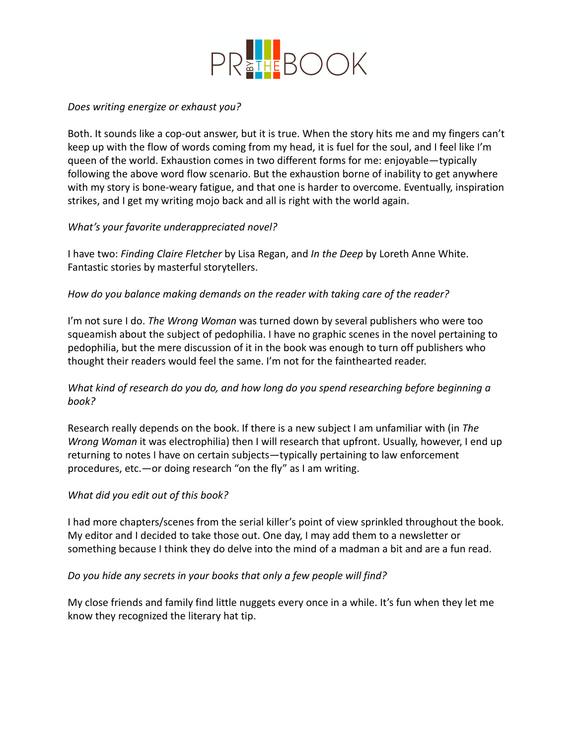

### *Does writing energize or exhaust you?*

Both. It sounds like a cop-out answer, but it is true. When the story hits me and my fingers can't keep up with the flow of words coming from my head, it is fuel for the soul, and I feel like I'm queen of the world. Exhaustion comes in two different forms for me: enjoyable—typically following the above word flow scenario. But the exhaustion borne of inability to get anywhere with my story is bone-weary fatigue, and that one is harder to overcome. Eventually, inspiration strikes, and I get my writing mojo back and all is right with the world again.

## *What's your favorite underappreciated novel?*

I have two: *Finding Claire Fletcher* by Lisa Regan, and *In the Deep* by Loreth Anne White. Fantastic stories by masterful storytellers.

## *How do you balance making demands on the reader with taking care of the reader?*

I'm not sure I do. *The Wrong Woman* was turned down by several publishers who were too squeamish about the subject of pedophilia. I have no graphic scenes in the novel pertaining to pedophilia, but the mere discussion of it in the book was enough to turn off publishers who thought their readers would feel the same. I'm not for the fainthearted reader.

# *What kind of research do you do, and how long do you spend researching before beginning a book?*

Research really depends on the book. If there is a new subject I am unfamiliar with (in *The Wrong Woman* it was electrophilia) then I will research that upfront. Usually, however, I end up returning to notes I have on certain subjects—typically pertaining to law enforcement procedures, etc.—or doing research "on the fly" as I am writing.

#### *What did you edit out of this book?*

I had more chapters/scenes from the serial killer's point of view sprinkled throughout the book. My editor and I decided to take those out. One day, I may add them to a newsletter or something because I think they do delve into the mind of a madman a bit and are a fun read.

#### *Do you hide any secrets in your books that only a few people will find?*

My close friends and family find little nuggets every once in a while. It's fun when they let me know they recognized the literary hat tip.